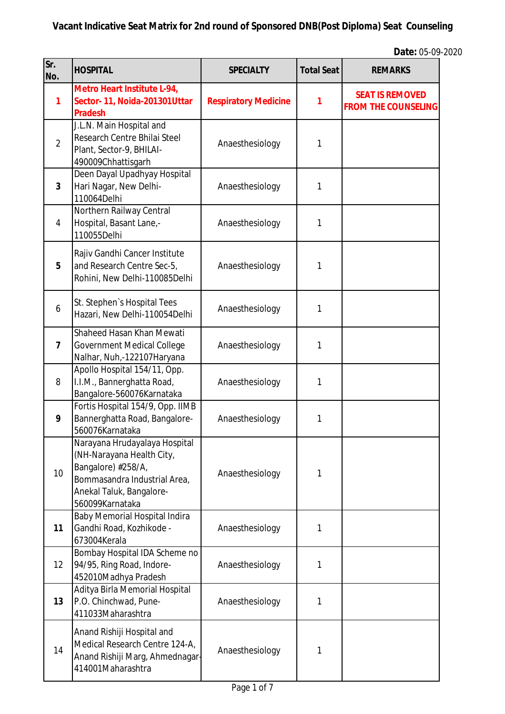| Sr.<br>No.      | <b>HOSPITAL</b>                                                                                                                                                 | <b>SPECIALTY</b>            | <b>Total Seat</b> | <b>REMARKS</b>                                       |
|-----------------|-----------------------------------------------------------------------------------------------------------------------------------------------------------------|-----------------------------|-------------------|------------------------------------------------------|
| 1               | Metro Heart Institute L-94,<br>Sector-11, Noida-201301Uttar<br><b>Pradesh</b>                                                                                   | <b>Respiratory Medicine</b> | 1                 | <b>SEAT IS REMOVED</b><br><b>FROM THE COUNSELING</b> |
| $\overline{2}$  | J.L.N. Main Hospital and<br>Research Centre Bhilai Steel<br>Plant, Sector-9, BHILAI-<br>490009Chhattisgarh                                                      | Anaesthesiology             | 1                 |                                                      |
| $\overline{3}$  | Deen Dayal Upadhyay Hospital<br>Hari Nagar, New Delhi-<br>110064Delhi                                                                                           | Anaesthesiology             | 1                 |                                                      |
| 4               | Northern Railway Central<br>Hospital, Basant Lane,-<br>110055Delhi                                                                                              | Anaesthesiology             | 1                 |                                                      |
| 5               | Rajiv Gandhi Cancer Institute<br>and Research Centre Sec-5,<br>Rohini, New Delhi-110085Delhi                                                                    | Anaesthesiology             | 1                 |                                                      |
| 6               | St. Stephen's Hospital Tees<br>Hazari, New Delhi-110054Delhi                                                                                                    | Anaesthesiology             | 1                 |                                                      |
| $\overline{7}$  | Shaheed Hasan Khan Mewati<br><b>Government Medical College</b><br>Nalhar, Nuh,-122107Haryana                                                                    | Anaesthesiology             | 1                 |                                                      |
| 8               | Apollo Hospital 154/11, Opp.<br>I.I.M., Bannerghatta Road,<br>Bangalore-560076Karnataka                                                                         | Anaesthesiology             | 1                 |                                                      |
| 9               | Fortis Hospital 154/9, Opp. IIMB<br>Bannerghatta Road, Bangalore-<br>560076Karnataka                                                                            | Anaesthesiology             | 1                 |                                                      |
| 10              | Narayana Hrudayalaya Hospital<br>(NH-Narayana Health City,<br>Bangalore) #258/A,<br>Bommasandra Industrial Area,<br>Anekal Taluk, Bangalore-<br>560099Karnataka | Anaesthesiology             | 1                 |                                                      |
| 11              | Baby Memorial Hospital Indira<br>Gandhi Road, Kozhikode -<br>673004Kerala                                                                                       | Anaesthesiology             | 1                 |                                                      |
| 12 <sup>2</sup> | Bombay Hospital IDA Scheme no<br>94/95, Ring Road, Indore-<br>452010Madhya Pradesh                                                                              | Anaesthesiology             | 1                 |                                                      |
| 13              | Aditya Birla Memorial Hospital<br>P.O. Chinchwad, Pune-<br>411033Maharashtra                                                                                    | Anaesthesiology             | 1                 |                                                      |
| 14              | Anand Rishiji Hospital and<br>Medical Research Centre 124-A,<br>Anand Rishiji Marg, Ahmednagar-<br>414001Maharashtra                                            | Anaesthesiology             | 1                 |                                                      |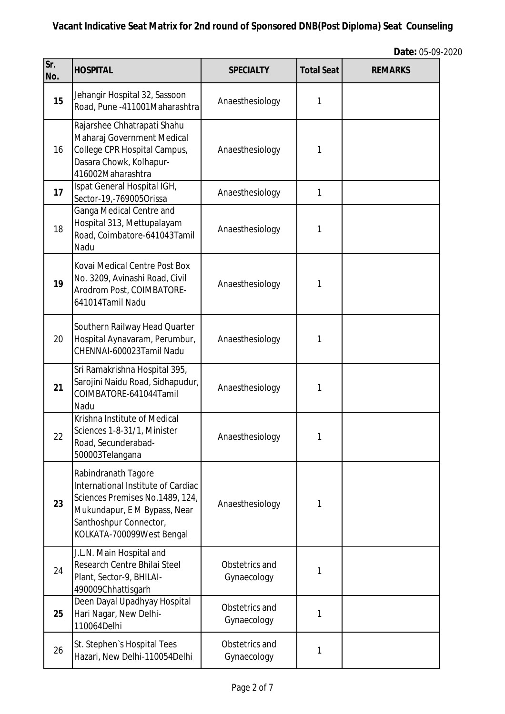| Sr.<br>No. | <b>HOSPITAL</b>                                                                                                                                                                     | <b>SPECIALTY</b>              | <b>Total Seat</b> | <b>REMARKS</b> |
|------------|-------------------------------------------------------------------------------------------------------------------------------------------------------------------------------------|-------------------------------|-------------------|----------------|
| 15         | Jehangir Hospital 32, Sassoon<br>Road, Pune -411001Maharashtra                                                                                                                      | Anaesthesiology               | 1                 |                |
| 16         | Rajarshee Chhatrapati Shahu<br>Maharaj Government Medical<br>College CPR Hospital Campus,<br>Dasara Chowk, Kolhapur-<br>416002Maharashtra                                           | Anaesthesiology               | 1                 |                |
| 17         | Ispat General Hospital IGH,<br>Sector-19,-769005Orissa                                                                                                                              | Anaesthesiology               | 1                 |                |
| 18         | Ganga Medical Centre and<br>Hospital 313, Mettupalayam<br>Road, Coimbatore-641043Tamil<br>Nadu                                                                                      | Anaesthesiology               | 1                 |                |
| 19         | Kovai Medical Centre Post Box<br>No. 3209, Avinashi Road, Civil<br>Arodrom Post, COIMBATORE-<br>641014Tamil Nadu                                                                    | Anaesthesiology               | 1                 |                |
| 20         | Southern Railway Head Quarter<br>Hospital Aynavaram, Perumbur,<br>CHENNAI-600023Tamil Nadu                                                                                          | Anaesthesiology               | 1                 |                |
| 21         | Sri Ramakrishna Hospital 395,<br>Sarojini Naidu Road, Sidhapudur,<br>COIMBATORE-641044Tamil<br>Nadu                                                                                 | Anaesthesiology               | 1                 |                |
| 22         | Krishna Institute of Medical<br>Sciences 1-8-31/1, Minister<br>Road, Secunderabad-<br>500003Telangana                                                                               | Anaesthesiology               | 1                 |                |
| 23         | Rabindranath Tagore<br>International Institute of Cardiac<br>Sciences Premises No.1489, 124,<br>Mukundapur, E M Bypass, Near<br>Santhoshpur Connector,<br>KOLKATA-700099West Bengal | Anaesthesiology               | 1                 |                |
| 24         | J.L.N. Main Hospital and<br>Research Centre Bhilai Steel<br>Plant, Sector-9, BHILAI-<br>490009Chhattisgarh                                                                          | Obstetrics and<br>Gynaecology | 1                 |                |
| 25         | Deen Dayal Upadhyay Hospital<br>Hari Nagar, New Delhi-<br>110064Delhi                                                                                                               | Obstetrics and<br>Gynaecology | 1                 |                |
| 26         | St. Stephen's Hospital Tees<br>Hazari, New Delhi-110054Delhi                                                                                                                        | Obstetrics and<br>Gynaecology | 1                 |                |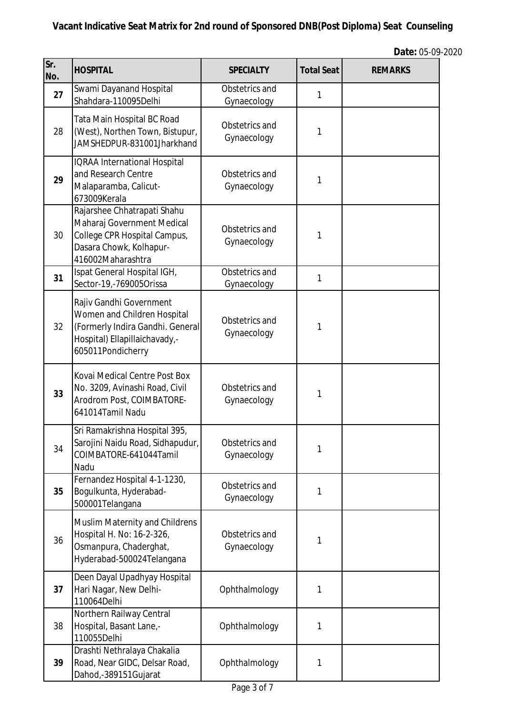| Sr.<br>No. | <b>HOSPITAL</b>                                                                                                                                  | <b>SPECIALTY</b>              | <b>Total Seat</b> | <b>REMARKS</b> |
|------------|--------------------------------------------------------------------------------------------------------------------------------------------------|-------------------------------|-------------------|----------------|
| 27         | Swami Dayanand Hospital<br>Shahdara-110095Delhi                                                                                                  | Obstetrics and<br>Gynaecology | 1                 |                |
| 28         | Tata Main Hospital BC Road<br>(West), Northen Town, Bistupur,<br>JAMSHEDPUR-831001Jharkhand                                                      | Obstetrics and<br>Gynaecology | 1                 |                |
| 29         | <b>IQRAA International Hospital</b><br>and Research Centre<br>Malaparamba, Calicut-<br>673009Kerala                                              | Obstetrics and<br>Gynaecology | 1                 |                |
| 30         | Rajarshee Chhatrapati Shahu<br>Maharaj Government Medical<br>College CPR Hospital Campus,<br>Dasara Chowk, Kolhapur-<br>416002Maharashtra        | Obstetrics and<br>Gynaecology | 1                 |                |
| 31         | Ispat General Hospital IGH,<br>Sector-19,-769005Orissa                                                                                           | Obstetrics and<br>Gynaecology | 1                 |                |
| 32         | Rajiv Gandhi Government<br>Women and Children Hospital<br>(Formerly Indira Gandhi. General<br>Hospital) Ellapillaichavady,-<br>605011Pondicherry | Obstetrics and<br>Gynaecology | 1                 |                |
| 33         | Kovai Medical Centre Post Box<br>No. 3209, Avinashi Road, Civil<br>Arodrom Post, COIMBATORE-<br>641014Tamil Nadu                                 | Obstetrics and<br>Gynaecology | 1                 |                |
| 34         | Sri Ramakrishna Hospital 395,<br>Sarojini Naidu Road, Sidhapudur,<br>COIMBATORE-641044Tamil<br>Nadu                                              | Obstetrics and<br>Gynaecology | 1                 |                |
| 35         | Fernandez Hospital 4-1-1230,<br>Bogulkunta, Hyderabad-<br>500001Telangana                                                                        | Obstetrics and<br>Gynaecology | 1                 |                |
| 36         | Muslim Maternity and Childrens<br>Hospital H. No: 16-2-326,<br>Osmanpura, Chaderghat,<br>Hyderabad-500024Telangana                               | Obstetrics and<br>Gynaecology | 1                 |                |
| 37         | Deen Dayal Upadhyay Hospital<br>Hari Nagar, New Delhi-<br>110064Delhi                                                                            | Ophthalmology                 | 1                 |                |
| 38         | Northern Railway Central<br>Hospital, Basant Lane,-<br>110055Delhi                                                                               | Ophthalmology                 | 1                 |                |
| 39         | Drashti Nethralaya Chakalia<br>Road, Near GIDC, Delsar Road,<br>Dahod,-389151Gujarat                                                             | Ophthalmology                 | 1                 |                |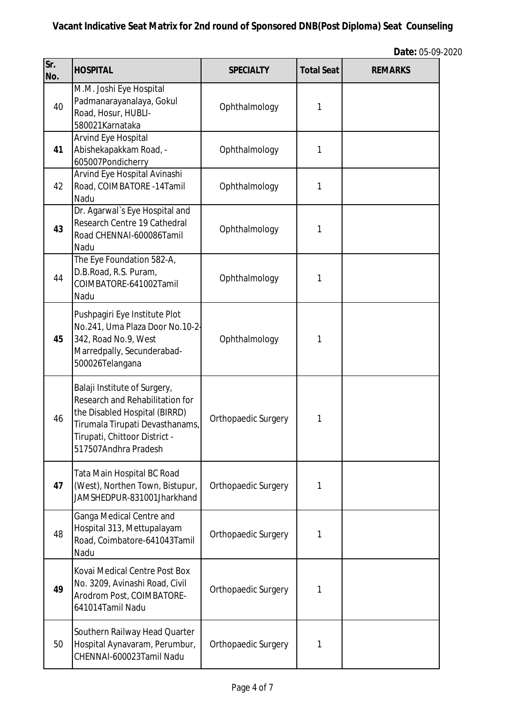| Sr.<br>No. | <b>HOSPITAL</b>                                                                                                                                                                              | <b>SPECIALTY</b>    | <b>Total Seat</b> | <b>REMARKS</b> |
|------------|----------------------------------------------------------------------------------------------------------------------------------------------------------------------------------------------|---------------------|-------------------|----------------|
| 40         | M.M. Joshi Eye Hospital<br>Padmanarayanalaya, Gokul<br>Road, Hosur, HUBLI-<br>580021Karnataka                                                                                                | Ophthalmology       | 1                 |                |
| 41         | Arvind Eye Hospital<br>Abishekapakkam Road, -<br>605007Pondicherry                                                                                                                           | Ophthalmology       | 1                 |                |
| 42         | Arvind Eye Hospital Avinashi<br>Road, COIMBATORE -14Tamil<br>Nadu                                                                                                                            | Ophthalmology       | 1                 |                |
| 43         | Dr. Agarwal's Eye Hospital and<br>Research Centre 19 Cathedral<br>Road CHENNAI-600086Tamil<br>Nadu                                                                                           | Ophthalmology       | 1                 |                |
| 44         | The Eye Foundation 582-A,<br>D.B.Road, R.S. Puram,<br>COIMBATORE-641002Tamil<br>Nadu                                                                                                         | Ophthalmology       | 1                 |                |
| 45         | Pushpagiri Eye Institute Plot<br>No.241, Uma Plaza Door No.10-2-<br>342, Road No.9, West<br>Marredpally, Secunderabad-<br>500026Telangana                                                    | Ophthalmology       | 1                 |                |
| 46         | Balaji Institute of Surgery,<br>Research and Rehabilitation for<br>the Disabled Hospital (BIRRD)<br>Tirumala Tirupati Devasthanams,<br>Tirupati, Chittoor District -<br>517507Andhra Pradesh | Orthopaedic Surgery | 1                 |                |
| 47         | Tata Main Hospital BC Road<br>(West), Northen Town, Bistupur,<br>JAMSHEDPUR-831001Jharkhand                                                                                                  | Orthopaedic Surgery | 1                 |                |
| 48         | Ganga Medical Centre and<br>Hospital 313, Mettupalayam<br>Road, Coimbatore-641043Tamil<br>Nadu                                                                                               | Orthopaedic Surgery | 1                 |                |
| 49         | Kovai Medical Centre Post Box<br>No. 3209, Avinashi Road, Civil<br>Arodrom Post, COIMBATORE-<br>641014Tamil Nadu                                                                             | Orthopaedic Surgery | 1                 |                |
| 50         | Southern Railway Head Quarter<br>Hospital Aynavaram, Perumbur,<br>CHENNAI-600023Tamil Nadu                                                                                                   | Orthopaedic Surgery | 1                 |                |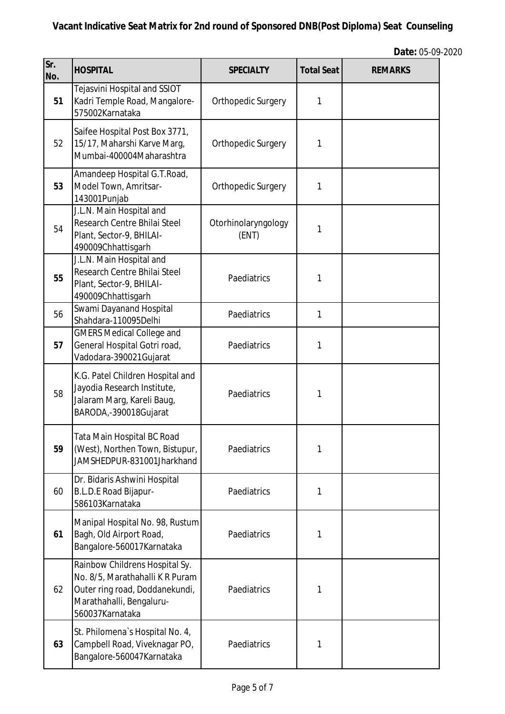| Sr.<br>No. | <b>HOSPITAL</b>                                                                                                                                    | <b>SPECIALTY</b>             | <b>Total Seat</b> | <b>REMARKS</b> |
|------------|----------------------------------------------------------------------------------------------------------------------------------------------------|------------------------------|-------------------|----------------|
| 51         | Tejasvini Hospital and SSIOT<br>Kadri Temple Road, Mangalore-<br>575002Karnataka                                                                   | Orthopedic Surgery           | 1                 |                |
| 52         | Saifee Hospital Post Box 3771,<br>15/17, Maharshi Karve Marq,<br>Mumbai-400004Maharashtra                                                          | Orthopedic Surgery           | 1                 |                |
| 53         | Amandeep Hospital G.T.Road,<br>Model Town, Amritsar-<br>143001Punjab                                                                               | Orthopedic Surgery           | 1                 |                |
| 54         | J.L.N. Main Hospital and<br>Research Centre Bhilai Steel<br>Plant, Sector-9, BHILAI-<br>490009Chhattisgarh                                         | Otorhinolaryngology<br>(ENT) | 1                 |                |
| 55         | J.L.N. Main Hospital and<br>Research Centre Bhilai Steel<br>Plant, Sector-9, BHILAI-<br>490009Chhattisgarh                                         | Paediatrics                  | 1                 |                |
| 56         | Swami Dayanand Hospital<br>Shahdara-110095Delhi                                                                                                    | Paediatrics                  | 1                 |                |
| 57         | <b>GMERS Medical College and</b><br>General Hospital Gotri road,<br>Vadodara-390021Gujarat                                                         | Paediatrics                  | 1                 |                |
| 58         | K.G. Patel Children Hospital and<br>Jayodia Research Institute,<br>Jalaram Marg, Kareli Baug,<br>BARODA,-390018Gujarat                             | Paediatrics                  | 1                 |                |
| 59         | Tata Main Hospital BC Road<br>(West), Northen Town, Bistupur,<br>JAMSHEDPUR-831001Jharkhand                                                        | Paediatrics                  | 1                 |                |
| 60         | Dr. Bidaris Ashwini Hospital<br>B.L.D.E Road Bijapur-<br>586103Karnataka                                                                           | Paediatrics                  | 1                 |                |
| 61         | Manipal Hospital No. 98, Rustum<br>Bagh, Old Airport Road,<br>Bangalore-560017Karnataka                                                            | Paediatrics                  | 1                 |                |
| 62         | Rainbow Childrens Hospital Sy.<br>No. 8/5, Marathahalli K R Puram<br>Outer ring road, Doddanekundi,<br>Marathahalli, Bengaluru-<br>560037Karnataka | Paediatrics                  | 1                 |                |
| 63         | St. Philomena's Hospital No. 4,<br>Campbell Road, Viveknagar PO,<br>Bangalore-560047Karnataka                                                      | Paediatrics                  | 1                 |                |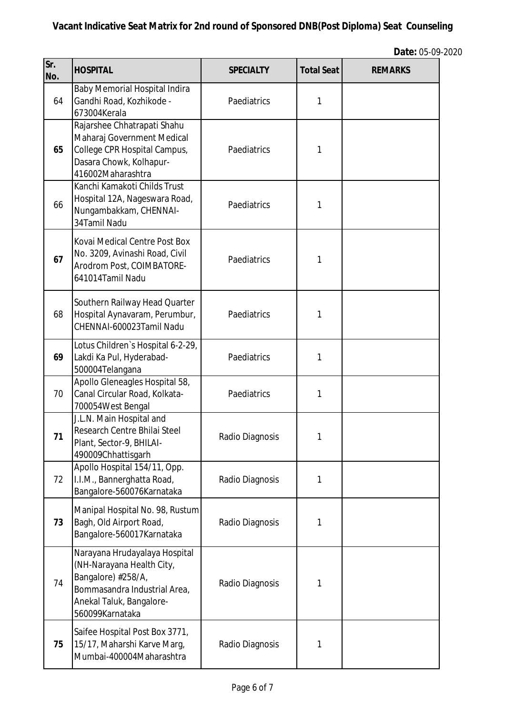| Sr.<br>No. | <b>HOSPITAL</b>                                                                                                                                                 | <b>SPECIALTY</b> | <b>Total Seat</b> | <b>REMARKS</b> |
|------------|-----------------------------------------------------------------------------------------------------------------------------------------------------------------|------------------|-------------------|----------------|
| 64         | <b>Baby Memorial Hospital Indira</b><br>Gandhi Road, Kozhikode -<br>673004Kerala                                                                                | Paediatrics      | 1                 |                |
| 65         | Rajarshee Chhatrapati Shahu<br>Maharaj Government Medical<br>College CPR Hospital Campus,<br>Dasara Chowk, Kolhapur-<br>416002Maharashtra                       | Paediatrics      | 1                 |                |
| 66         | Kanchi Kamakoti Childs Trust<br>Hospital 12A, Nageswara Road,<br>Nungambakkam, CHENNAI-<br>34Tamil Nadu                                                         | Paediatrics      | 1                 |                |
| 67         | Kovai Medical Centre Post Box<br>No. 3209, Avinashi Road, Civil<br>Arodrom Post, COIMBATORE-<br>641014Tamil Nadu                                                | Paediatrics      | 1                 |                |
| 68         | Southern Railway Head Quarter<br>Hospital Aynavaram, Perumbur,<br>CHENNAI-600023Tamil Nadu                                                                      | Paediatrics      | 1                 |                |
| 69         | Lotus Children's Hospital 6-2-29,<br>Lakdi Ka Pul, Hyderabad-<br>500004Telangana                                                                                | Paediatrics      | 1                 |                |
| 70         | Apollo Gleneagles Hospital 58,<br>Canal Circular Road, Kolkata-<br>700054West Bengal                                                                            | Paediatrics      | 1                 |                |
| 71         | J.L.N. Main Hospital and<br>Research Centre Bhilai Steel<br>Plant, Sector-9, BHILAI-<br>490009Chhattisgarh                                                      | Radio Diagnosis  | 1                 |                |
| 72         | Apollo Hospital 154/11, Opp.<br>I.I.M., Bannerghatta Road,<br>Bangalore-560076Karnataka                                                                         | Radio Diagnosis  | 1                 |                |
| 73         | Manipal Hospital No. 98, Rustum<br>Bagh, Old Airport Road,<br>Bangalore-560017Karnataka                                                                         | Radio Diagnosis  | 1                 |                |
| 74         | Narayana Hrudayalaya Hospital<br>(NH-Narayana Health City,<br>Bangalore) #258/A,<br>Bommasandra Industrial Area,<br>Anekal Taluk, Bangalore-<br>560099Karnataka | Radio Diagnosis  | 1                 |                |
| 75         | Saifee Hospital Post Box 3771,<br>15/17, Maharshi Karve Marg,<br>Mumbai-400004Maharashtra                                                                       | Radio Diagnosis  | 1                 |                |